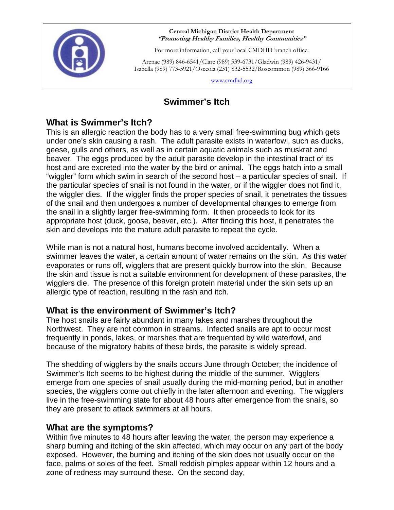

 **Central Michigan District Health Department "Promoting Healthy Families, Healthy Communities"** 

For more information, call your local CMDHD branch office:

 Arenac (989) 846-6541/Clare (989) 539-6731/Gladwin (989) 426-9431/ Isabella (989) 773-5921/Osceola (231) 832-5532/Roscommon (989) 366-9166

www.cmdhd.org

# **Swimmer's Itch**

## **What is Swimmer's Itch?**

This is an allergic reaction the body has to a very small free-swimming bug which gets under one's skin causing a rash. The adult parasite exists in waterfowl, such as ducks, geese, gulls and others, as well as in certain aquatic animals such as muskrat and beaver. The eggs produced by the adult parasite develop in the intestinal tract of its host and are excreted into the water by the bird or animal. The eggs hatch into a small "wiggler" form which swim in search of the second host – a particular species of snail. If the particular species of snail is not found in the water, or if the wiggler does not find it, the wiggler dies. If the wiggler finds the proper species of snail, it penetrates the tissues of the snail and then undergoes a number of developmental changes to emerge from the snail in a slightly larger free-swimming form. It then proceeds to look for its appropriate host (duck, goose, beaver, etc.). After finding this host, it penetrates the skin and develops into the mature adult parasite to repeat the cycle.

While man is not a natural host, humans become involved accidentally. When a swimmer leaves the water, a certain amount of water remains on the skin. As this water evaporates or runs off, wigglers that are present quickly burrow into the skin. Because the skin and tissue is not a suitable environment for development of these parasites, the wigglers die. The presence of this foreign protein material under the skin sets up an allergic type of reaction, resulting in the rash and itch.

## **What is the environment of Swimmer's Itch?**

The host snails are fairly abundant in many lakes and marshes throughout the Northwest. They are not common in streams. Infected snails are apt to occur most frequently in ponds, lakes, or marshes that are frequented by wild waterfowl, and because of the migratory habits of these birds, the parasite is widely spread.

The shedding of wigglers by the snails occurs June through October; the incidence of Swimmer's Itch seems to be highest during the middle of the summer. Wigglers emerge from one species of snail usually during the mid-morning period, but in another species, the wigglers come out chiefly in the later afternoon and evening. The wigglers live in the free-swimming state for about 48 hours after emergence from the snails, so they are present to attack swimmers at all hours.

## **What are the symptoms?**

Within five minutes to 48 hours after leaving the water, the person may experience a sharp burning and itching of the skin affected, which may occur on any part of the body exposed. However, the burning and itching of the skin does not usually occur on the face, palms or soles of the feet. Small reddish pimples appear within 12 hours and a zone of redness may surround these. On the second day,